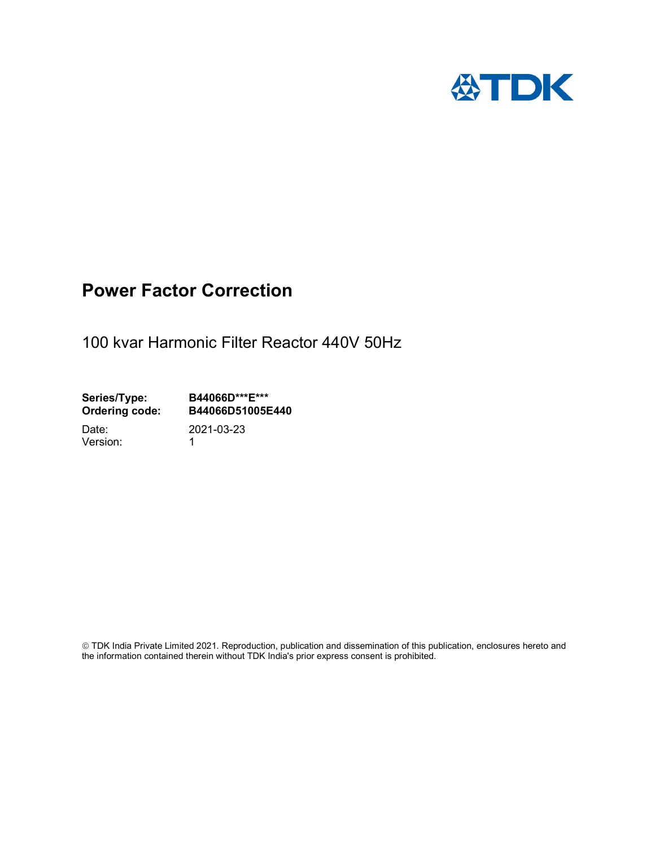

# Power Factor Correction

100 kvar Harmonic Filter Reactor 440V 50Hz

Series/Type: B44066D\*\*\*E\*\*\*<br>Ordering code: B44066D51005E B44066D51005E440

Version: 1

Date: 2021-03-23

 TDK India Private Limited 2021. Reproduction, publication and dissemination of this publication, enclosures hereto and the information contained therein without TDK India's prior express consent is prohibited.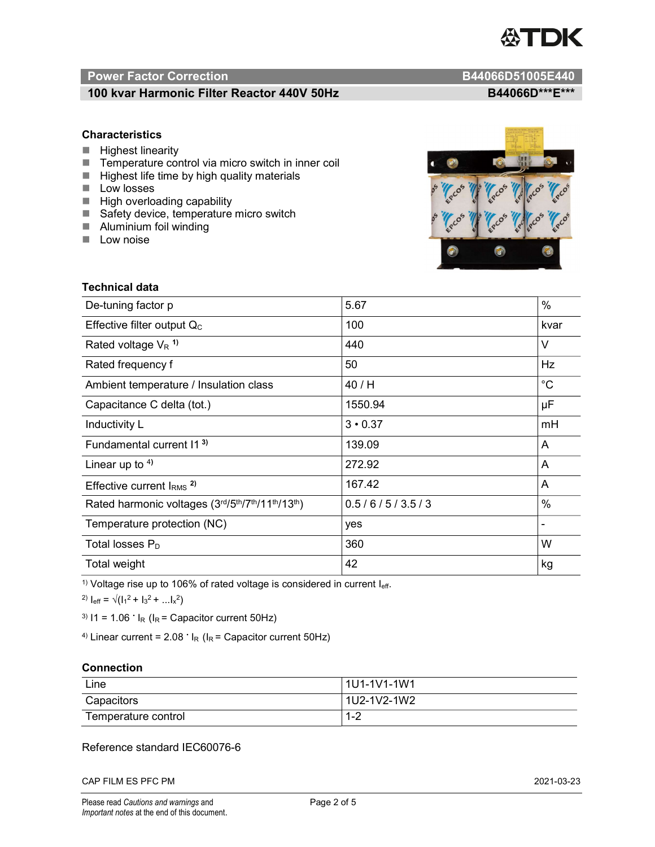

# Power Factor Correction and B44066D51005E440

# 100 kvar Harmonic Filter Reactor 440V 50Hz B44066D\*\*\*E\*\*\*

### **Characteristics**

- $H$  Highest linearity
- Temperature control via micro switch in inner coil
- $\blacksquare$  Highest life time by high quality materials
- **Low** losses
- $\blacksquare$  High overloading capability
- Safety device, temperature micro switch
- **Aluminium foil winding**
- **Low noise**

Technical data



| De-tuning factor p                              | 5.67           | $\%$        |
|-------------------------------------------------|----------------|-------------|
| Effective filter output $Q_C$                   | 100            | kvar        |
| Rated voltage $V_R$ <sup>1)</sup>               | 440            | V           |
| Rated frequency f                               | 50             | Hz          |
| Ambient temperature / Insulation class          | 40 / H         | $^{\circ}C$ |
| Capacitance C delta (tot.)                      | 1550.94        | μF          |
| Inductivity L                                   | $3 \cdot 0.37$ | mH          |
| Fundamental current 11 <sup>3)</sup>            | 139.09         | A           |
| Linear up to $4$ )                              | 272.92         | A           |
| Effective current $IRMS$ <sup>2)</sup>          | 167.42         | A           |
| Rated harmonic voltages (3rd/5th/7th/11th/13th) | 0.5/6/5/3.5/3  | $\%$        |
| Temperature protection (NC)                     | yes            |             |
| Total losses $P_D$                              | 360            | W           |
| Total weight                                    | 42             | kg          |

<sup>1)</sup> Voltage rise up to 106% of rated voltage is considered in current  $I_{\text{eff}}$ .

<sup>2)</sup>  $I_{eff} = \sqrt{(I_1^2 + I_3^2 + ... I_x^2)}$ 

<sup>3)</sup>  $11 = 1.06$   $\cdot$   $I_R$  ( $I_R$  = Capacitor current 50Hz)

<sup>4)</sup> Linear current =  $2.08$   $\cdot$  I<sub>R</sub> (I<sub>R</sub> = Capacitor current 50Hz)

#### **Connection**

| Line                | l 1U1-1V1-1W1       |
|---------------------|---------------------|
| Capacitors          | l 1U2-1V2-1W2       |
| Temperature control | <u> 4 ຕ</u><br>ے- ا |

### Reference standard IEC60076-6

CAP FILM ES PFC PM 2021-03-23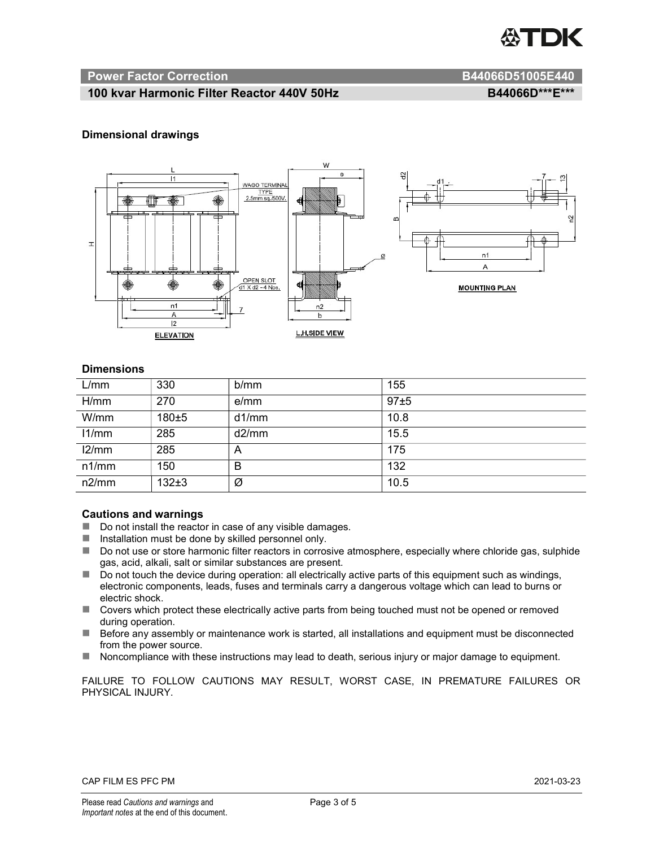

#### Power Factor Correction and B44066D51005E440

# 100 kvar Harmonic Filter Reactor 440V 50Hz BA4066D\*\*\*E\*\*\*

#### Dimensional drawings



#### **Dimensions**

| L/mm  | 330       | b/mm  | 155  |
|-------|-----------|-------|------|
| H/mm  | 270       | e/mm  | 97±5 |
| W/mm  | 180±5     | d1/mm | 10.8 |
| 11/mm | 285       | d2/mm | 15.5 |
| 12/mm | 285       | A     | 175  |
| n1/mm | 150       | В     | 132  |
| n2/mm | $132\pm3$ | Ø     | 10.5 |

#### Cautions and warnings

- Do not install the reactor in case of any visible damages.
- Installation must be done by skilled personnel only.
- Do not use or store harmonic filter reactors in corrosive atmosphere, especially where chloride gas, sulphide gas, acid, alkali, salt or similar substances are present.
- Do not touch the device during operation: all electrically active parts of this equipment such as windings, electronic components, leads, fuses and terminals carry a dangerous voltage which can lead to burns or electric shock.
- Covers which protect these electrically active parts from being touched must not be opened or removed during operation.
- Before any assembly or maintenance work is started, all installations and equipment must be disconnected from the power source.
- Noncompliance with these instructions may lead to death, serious injury or major damage to equipment.

FAILURE TO FOLLOW CAUTIONS MAY RESULT, WORST CASE, IN PREMATURE FAILURES OR PHYSICAL INJURY.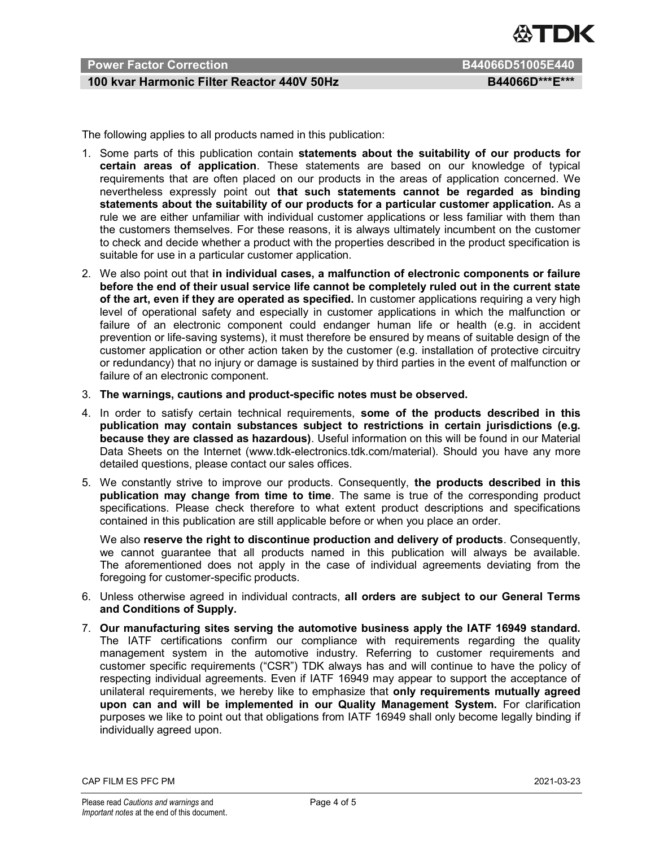

# Power Factor Correction B44066D51005E440

# 100 kvar Harmonic Filter Reactor 440V 50Hz BA4066D\*\*\*E\*\*\*

The following applies to all products named in this publication:

- 1. Some parts of this publication contain statements about the suitability of our products for certain areas of application. These statements are based on our knowledge of typical requirements that are often placed on our products in the areas of application concerned. We nevertheless expressly point out that such statements cannot be regarded as binding statements about the suitability of our products for a particular customer application. As a rule we are either unfamiliar with individual customer applications or less familiar with them than the customers themselves. For these reasons, it is always ultimately incumbent on the customer to check and decide whether a product with the properties described in the product specification is suitable for use in a particular customer application.
- 2. We also point out that in individual cases, a malfunction of electronic components or failure before the end of their usual service life cannot be completely ruled out in the current state of the art, even if they are operated as specified. In customer applications requiring a very high level of operational safety and especially in customer applications in which the malfunction or failure of an electronic component could endanger human life or health (e.g. in accident prevention or life-saving systems), it must therefore be ensured by means of suitable design of the customer application or other action taken by the customer (e.g. installation of protective circuitry or redundancy) that no injury or damage is sustained by third parties in the event of malfunction or failure of an electronic component.
- 3. The warnings, cautions and product-specific notes must be observed.
- 4. In order to satisfy certain technical requirements, some of the products described in this publication may contain substances subject to restrictions in certain jurisdictions (e.g. because they are classed as hazardous). Useful information on this will be found in our Material Data Sheets on the Internet (www.tdk-electronics.tdk.com/material). Should you have any more detailed questions, please contact our sales offices.
- 5. We constantly strive to improve our products. Consequently, the products described in this publication may change from time to time. The same is true of the corresponding product specifications. Please check therefore to what extent product descriptions and specifications contained in this publication are still applicable before or when you place an order.

We also reserve the right to discontinue production and delivery of products. Consequently, we cannot guarantee that all products named in this publication will always be available. The aforementioned does not apply in the case of individual agreements deviating from the foregoing for customer-specific products.

- 6. Unless otherwise agreed in individual contracts, all orders are subject to our General Terms and Conditions of Supply.
- 7. Our manufacturing sites serving the automotive business apply the IATF 16949 standard. The IATF certifications confirm our compliance with requirements regarding the quality management system in the automotive industry. Referring to customer requirements and customer specific requirements ("CSR") TDK always has and will continue to have the policy of respecting individual agreements. Even if IATF 16949 may appear to support the acceptance of unilateral requirements, we hereby like to emphasize that only requirements mutually agreed upon can and will be implemented in our Quality Management System. For clarification purposes we like to point out that obligations from IATF 16949 shall only become legally binding if individually agreed upon.